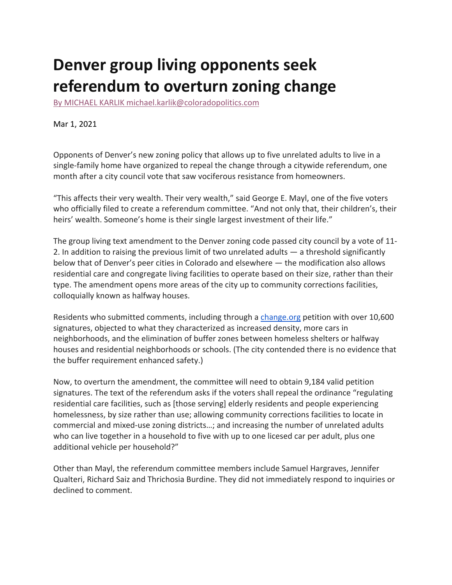## **Denver group living opponents seek referendum to overturn zoning change**

By MICHAEL KARLIK michael.karlik@coloradopolitics.com

Mar 1, 2021

Opponents of Denver's new zoning policy that allows up to five unrelated adults to live in a single-family home have organized to repeal the change through a citywide referendum, one month after a city council vote that saw vociferous resistance from homeowners.

"This affects their very wealth. Their very wealth," said George E. Mayl, one of the five voters who officially filed to create a referendum committee. "And not only that, their children's, their heirs' wealth. Someone's home is their single largest investment of their life."

The group living text amendment to the Denver zoning code passed city council by a vote of 11- 2. In addition to raising the previous limit of two unrelated adults — a threshold significantly below that of Denver's peer cities in Colorado and elsewhere — the modification also allows residential care and congregate living facilities to operate based on their size, rather than their type. The amendment opens more areas of the city up to community corrections facilities, colloquially known as halfway houses.

Residents who submitted comments, including through a change.org petition with over 10,600 signatures, objected to what they characterized as increased density, more cars in neighborhoods, and the elimination of buffer zones between homeless shelters or halfway houses and residential neighborhoods or schools. (The city contended there is no evidence that the buffer requirement enhanced safety.)

Now, to overturn the amendment, the committee will need to obtain 9,184 valid petition signatures. The text of the referendum asks if the voters shall repeal the ordinance "regulating residential care facilities, such as [those serving] elderly residents and people experiencing homelessness, by size rather than use; allowing community corrections facilities to locate in commercial and mixed-use zoning districts…; and increasing the number of unrelated adults who can live together in a household to five with up to one licesed car per adult, plus one additional vehicle per household?"

Other than Mayl, the referendum committee members include Samuel Hargraves, Jennifer Qualteri, Richard Saiz and Thrichosia Burdine. They did not immediately respond to inquiries or declined to comment.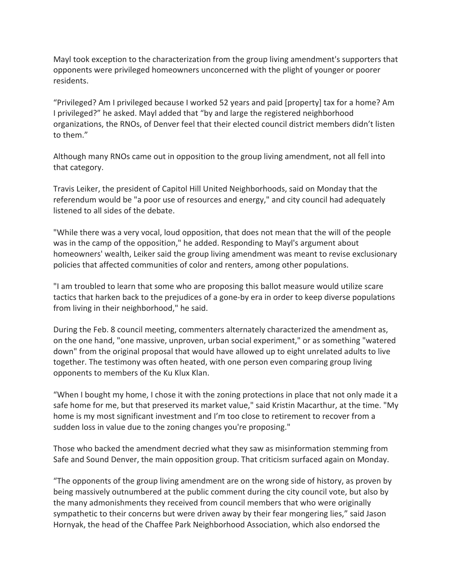Mayl took exception to the characterization from the group living amendment's supporters that opponents were privileged homeowners unconcerned with the plight of younger or poorer residents.

"Privileged? Am I privileged because I worked 52 years and paid [property] tax for a home? Am I privileged?" he asked. Mayl added that "by and large the registered neighborhood organizations, the RNOs, of Denver feel that their elected council district members didn't listen to them."

Although many RNOs came out in opposition to the group living amendment, not all fell into that category.

Travis Leiker, the president of Capitol Hill United Neighborhoods, said on Monday that the referendum would be "a poor use of resources and energy," and city council had adequately listened to all sides of the debate.

"While there was a very vocal, loud opposition, that does not mean that the will of the people was in the camp of the opposition," he added. Responding to Mayl's argument about homeowners' wealth, Leiker said the group living amendment was meant to revise exclusionary policies that affected communities of color and renters, among other populations.

"I am troubled to learn that some who are proposing this ballot measure would utilize scare tactics that harken back to the prejudices of a gone-by era in order to keep diverse populations from living in their neighborhood," he said.

During the Feb. 8 council meeting, commenters alternately characterized the amendment as, on the one hand, "one massive, unproven, urban social experiment," or as something "watered down" from the original proposal that would have allowed up to eight unrelated adults to live together. The testimony was often heated, with one person even comparing group living opponents to members of the Ku Klux Klan.

"When I bought my home, I chose it with the zoning protections in place that not only made it a safe home for me, but that preserved its market value," said Kristin Macarthur, at the time. "My home is my most significant investment and I'm too close to retirement to recover from a sudden loss in value due to the zoning changes you're proposing."

Those who backed the amendment decried what they saw as misinformation stemming from Safe and Sound Denver, the main opposition group. That criticism surfaced again on Monday.

"The opponents of the group living amendment are on the wrong side of history, as proven by being massively outnumbered at the public comment during the city council vote, but also by the many admonishments they received from council members that who were originally sympathetic to their concerns but were driven away by their fear mongering lies," said Jason Hornyak, the head of the Chaffee Park Neighborhood Association, which also endorsed the